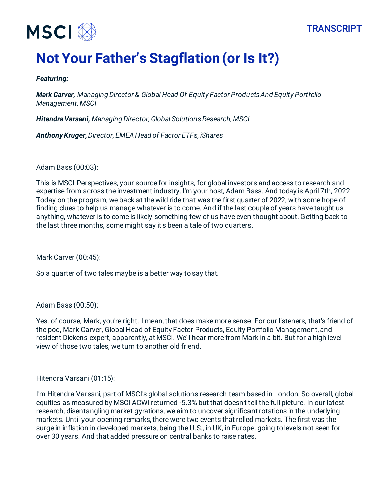



# **Not Your Father's Stagflation (or Is It?)**

#### *Featuring:*

*Mark Carver, Managing Director & Global Head Of Equity Factor Products And Equity Portfolio Management, MSCI*

*Hitendra Varsani, Managing Director, Global Solutions Research, MSCI*

*Anthony Kruger, Director, EMEA Head of Factor ETFs, iShares*

Adam Bass (00:03):

This is MSCI Perspectives, your source for insights, for global investors and access to research and expertise from across the investment industry. I'm your host, Adam Bass. And today is April 7th, 2022. Today on the program, we back at the wild ride that was the first quarter of 2022, with some hope of finding clues to help us manage whatever is to come. And if the last couple of years have taught us anything, whatever is to come is likely something few of us have even thought about. Getting back to the last three months, some might say it's been a tale of two quarters.

Mark Carver (00:45):

So a quarter of two tales maybe is a better way to say that.

Adam Bass (00:50):

Yes, of course, Mark, you're right. I mean, that does make more sense. For our listeners, that's friend of the pod, Mark Carver, Global Head of Equity Factor Products, Equity Portfolio Management, and resident Dickens expert, apparently, at MSCI. We'll hear more from Mark in a bit. But for a high level view of those two tales, we turn to another old friend.

Hitendra Varsani (01:15):

I'm Hitendra Varsani, part of MSCI's global solutions research team based in London. So overall, global equities as measured by MSCI ACWI returned -5.3% but that doesn't tell the full picture. In our latest research, disentangling market gyrations, we aim to uncover significant rotations in the underlying markets. Until your opening remarks, there were two events that rolled markets. The first was the surge in inflation in developed markets, being the U.S., in UK, in Europe, going to levels not seen for over 30 years. And that added pressure on central banks to raise rates.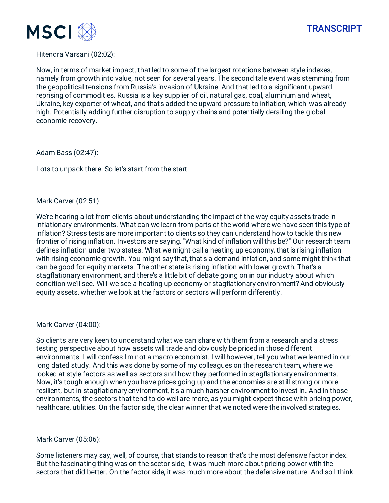

#### Hitendra Varsani (02:02):

Now, in terms of market impact, that led to some of the largest rotations between style indexes, namely from growth into value, not seen for several years. The second tale event was stemming from the geopolitical tensions from Russia's invasion of Ukraine. And that led to a significant upward reprising of commodities. Russia is a key supplier of oil, natural gas, coal, aluminum and wheat, Ukraine, key exporter of wheat, and that's added the upward pressure to inflation, which was already high. Potentially adding further disruption to supply chains and potentially derailing the global economic recovery.

Adam Bass (02:47):

Lots to unpack there. So let's start from the start.

#### Mark Carver (02:51):

We're hearing a lot from clients about understanding the impact of the way equity assets trade in inflationary environments. What can we learn from parts of the world where we have seen this type of inflation? Stress tests are more important to clients so they can understand how to tackle this new frontier of rising inflation. Investors are saying, "What kind of inflation will this be?" Our research team defines inflation under two states. What we might call a heating up economy, that is rising inflation with rising economic growth. You might say that, that's a demand inflation, and some might think that can be good for equity markets. The other state is rising inflation with lower growth. That's a stagflationary environment, and there's a little bit of debate going on in our industry about which condition we'll see. Will we see a heating up economy or stagflationary environment? And obviously equity assets, whether we look at the factors or sectors will perform differently.

#### Mark Carver (04:00):

So clients are very keen to understand what we can share with them from a research and a stress testing perspective about how assets will trade and obviously be priced in those different environments. I will confess I'm not a macro economist. I will however, tell you what we learned in our long dated study. And this was done by some of my colleagues on the research team, where we looked at style factors as well as sectors and how they performed in stagflationary environments. Now, it's tough enough when you have prices going up and the economies are still strong or more resilient, but in stagflationary environment, it's a much harsher environment to invest in. And in those environments, the sectors that tend to do well are more, as you might expect those with pricing power, healthcare, utilities. On the factor side, the clear winner that we noted were the involved strategies.

#### Mark Carver (05:06):

Some listeners may say, well, of course, that stands to reason that's the most defensive factor index. But the fascinating thing was on the sector side, it was much more about pricing power with the sectors that did better. On the factor side, it was much more about the defensive nature. And so I think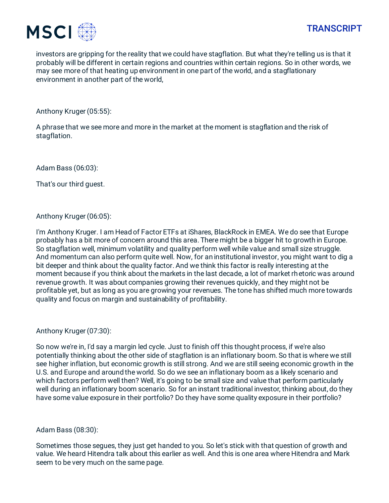

investors are gripping for the reality that we could have stagflation. But what they're telling us is that it probably will be different in certain regions and countries within certain regions. So in other words, we may see more of that heating up environment in one part of the world, and a stagflationary environment in another part of the world,

Anthony Kruger (05:55):

A phrase that we see more and more in the market at the moment is stagflation and the risk of stagflation.

Adam Bass (06:03):

That's our third guest.

Anthony Kruger (06:05):

I'm Anthony Kruger. I am Head of Factor ETFs at iShares, BlackRock in EMEA. We do see that Europe probably has a bit more of concern around this area. There might be a bigger hit to growth in Europe. So stagflation well, minimum volatility and quality perform well while value and small size struggle. And momentum can also perform quite well. Now, for an institutional investor, you might want to dig a bit deeper and think about the quality factor. And we think this factor is really interesting at the moment because if you think about the markets in the last decade, a lot of market rhetoric was around revenue growth. It was about companies growing their revenues quickly, and they might not be profitable yet, but as long as you are growing your revenues. The tone has shifted much more towards quality and focus on margin and sustainability of profitability.

Anthony Kruger (07:30):

So now we're in, I'd say a margin led cycle. Just to finish off this thought process, if we're also potentially thinking about the other side of stagflation is an inflationary boom. So that is where we still see higher inflation, but economic growth is still strong. And we are still seeing economic growth in the U.S. and Europe and around the world. So do we see an inflationary boom as a likely scenario and which factors perform well then? Well, it's going to be small size and value that perform particularly well during an inflationary boom scenario. So for an instant traditional investor, thinking about, do they have some value exposure in their portfolio? Do they have some quality exposure in their portfolio?

Adam Bass (08:30):

Sometimes those segues, they just get handed to you. So let's stick with that question of growth and value. We heard Hitendra talk about this earlier as well. And this is one area where Hitendra and Mark seem to be very much on the same page.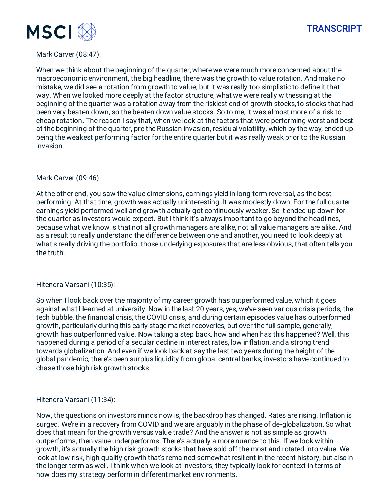



# Mark Carver (08:47):

When we think about the beginning of the quarter, where we were much more concerned about the macroeconomic environment, the big headline, there was the growth to value rotation. And make no mistake, we did see a rotation from growth to value, but it was really too simplistic to define it that way. When we looked more deeply at the factor structure, what we were really witnessing at the beginning of the quarter was a rotation away from the riskiest end of growth stocks, to stocks that had been very beaten down, so the beaten down value stocks. So to me, it was almost more of a risk to cheap rotation. The reason I say that, when we look at the factors that were performing worst and best at the beginning of the quarter, pre the Russian invasion, residual volatility, which by the way, ended up being the weakest performing factor for the entire quarter but it was really weak prior to the Russian invasion.

#### Mark Carver (09:46):

At the other end, you saw the value dimensions, earnings yield in long term reversal, as the best performing. At that time, growth was actually uninteresting. It was modestly down. For the full quarter earnings yield performed well and growth actually got continuously weaker. So it ended up down for the quarter as investors would expect. But I think it's always important to go beyond the headlines, because what we know is that not all growth managers are alike, not all value managers are alike. And as a result to really understand the difference between one and another, you need to look deeply at what's really driving the portfolio, those underlying exposures that are less obvious, that often tells you the truth.

#### Hitendra Varsani (10:35):

So when I look back over the majority of my career growth has outperformed value, which it goes against what I learned at university. Now in the last 20 years, yes, we've seen various crisis periods, the tech bubble, the financial crisis, the COVID crisis, and during certain episodes value has outperformed growth, particularly during this early stage market recoveries, but over the full sample, generally, growth has outperformed value. Now taking a step back, how and when has this happened? Well, this happened during a period of a secular decline in interest rates, low inflation, and a strong trend towards globalization. And even if we look back at say the last two years during the height of the global pandemic, there's been surplus liquidity from global central banks, investors have continued to chase those high risk growth stocks.

Hitendra Varsani (11:34):

Now, the questions on investors minds now is, the backdrop has changed. Rates are rising. Inflation is surged. We're in a recovery from COVID and we are arguably in the phase of de-globalization. So what does that mean for the growth versus value trade? And the answer is not as simple as growth outperforms, then value underperforms. There's actually a more nuance to this. If we look within growth, it's actually the high risk growth stocks that have sold off the most and rotated into value. We look at low risk, high quality growth that's remained somewhat resilient in the recent history, but also in the longer term as well. I think when we look at investors, they typically look for context in terms of how does my strategy perform in different market environments.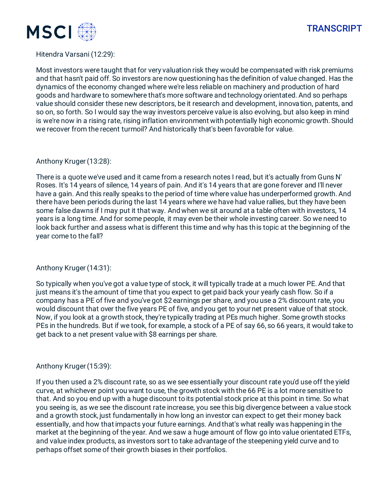

# **TRANSCRIPT**

# Hitendra Varsani (12:29):

Most investors were taught that for very valuation risk they would be compensated with risk premiums and that hasn't paid off. So investors are now questioning has the definition of value changed. Has the dynamics of the economy changed where we're less reliable on machinery and production of hard goods and hardware to somewhere that's more software and technology orientated. And so perhaps value should consider these new descriptors, be it research and development, innovation, patents, and so on, so forth. So I would say the way investors perceive value is also evolving, but also keep in mind is we're now in a rising rate, rising inflation environment with potentially high economic growth. Should we recover from the recent turmoil? And historically that's been favorable for value.

#### Anthony Kruger (13:28):

There is a quote we've used and it came from a research notes I read, but it's actually from Guns N' Roses. It's 14 years of silence, 14 years of pain. And it's 14 years that are gone forever and I'll never have a gain. And this really speaks to the period of time where value has underperformed growth. And there have been periods during the last 14 years where we have had value rallies, but they have been some false dawns if I may put it that way. And when we sit around at a table often with investors, 14 years is a long time. And for some people, it may even be their whole investing career. So we need to look back further and assess what is different this time and why has this topic at the beginning of the year come to the fall?

# Anthony Kruger (14:31):

So typically when you've got a value type of stock, it will typically trade at a much lower PE. And that just means it's the amount of time that you expect to get paid back your yearly cash flow. So if a company has a PE of five and you've got \$2 earnings per share, and you use a 2% discount rate, you would discount that over the five years PE of five, and you get to your net present value of that stock. Now, if you look at a growth stock, they're typically trading at PEs much higher. Some growth stocks PEs in the hundreds. But if we took, for example, a stock of a PE of say 66, so 66 years, it would take to get back to a net present value with \$8 earnings per share.

# Anthony Kruger (15:39):

If you then used a 2% discount rate, so as we see essentially your discount rate you'd use off the yield curve, at whichever point you want to use, the growth stock with the 66 PE is a lot more sensitive to that. And so you end up with a huge discount to its potential stock price at this point in time. So what you seeing is, as we see the discount rate increase, you see this big divergence between a value stock and a growth stock, just fundamentally in how long an investor can expect to get their money back essentially, and how that impacts your future earnings. And that's what really was happening in the market at the beginning of the year. And we saw a huge amount of flow go into value orientated ETFs, and value index products, as investors sort to take advantage of the steepening yield curve and to perhaps offset some of their growth biases in their portfolios.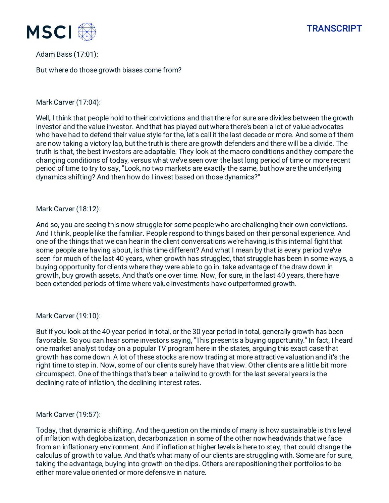



Adam Bass (17:01):

But where do those growth biases come from?

# Mark Carver (17:04):

Well, I think that people hold to their convictions and that there for sure are divides between the growth investor and the value investor. And that has played out where there's been a lot of value advocates who have had to defend their value style for the, let's call it the last decade or more. And some of them are now taking a victory lap, but the truth is there are growth defenders and there will be a divide. The truth is that, the best investors are adaptable. They look at the macro conditions and they compare the changing conditions of today, versus what we've seen over the last long period of time or more recent period of time to try to say, "Look, no two markets are exactly the same, but how are the underlying dynamics shifting? And then how do I invest based on those dynamics?"

#### Mark Carver (18:12):

And so, you are seeing this now struggle for some people who are challenging their own convictions. And I think, people like the familiar. People respond to things based on their personal experience. And one of the things that we can hear in the client conversations we're having, is this internal fight that some people are having about, is this time different? And what I mean by that is every period we've seen for much of the last 40 years, when growth has struggled, that struggle has been in some ways, a buying opportunity for clients where they were able to go in, take advantage of the draw down in growth, buy growth assets. And that's one over time. Now, for sure, in the last 40 years, there have been extended periods of time where value investments have outperformed growth.

#### Mark Carver (19:10):

But if you look at the 40 year period in total, or the 30 year period in total, generally growth has been favorable. So you can hear some investors saying, "This presents a buying opportunity." In fact, I heard one market analyst today on a popular TV program here in the states, arguing this exact case that growth has come down. A lot of these stocks are now trading at more attractive valuation and it's the right time to step in. Now, some of our clients surely have that view. Other clients are a little bit more circumspect. One of the things that's been a tailwind to growth for the last several years is the declining rate of inflation, the declining interest rates.

#### Mark Carver (19:57):

Today, that dynamic is shifting. And the question on the minds of many is how sustainable is this level of inflation with deglobalization, decarbonization in some of the other now headwinds that we face from an inflationary environment. And if inflation at higher levels is here to stay, that could change the calculus of growth to value. And that's what many of our clients are struggling with. Some are for sure, taking the advantage, buying into growth on the dips. Others are repositioning their portfolios to be either more value oriented or more defensive in nature.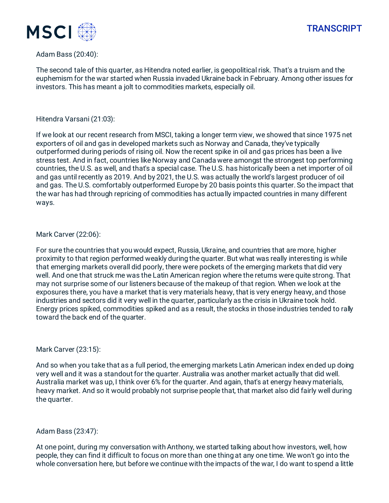



### Adam Bass (20:40):

The second tale of this quarter, as Hitendra noted earlier, is geopolitical risk. That's a truism and the euphemism for the war started when Russia invaded Ukraine back in February. Among other issues for investors. This has meant a jolt to commodities markets, especially oil.

#### Hitendra Varsani (21:03):

If we look at our recent research from MSCI, taking a longer term view, we showed that since 1975 net exporters of oil and gas in developed markets such as Norway and Canada, they've typically outperformed during periods of rising oil. Now the recent spike in oil and gas prices has been a live stress test. And in fact, countries like Norway and Canada were amongst the strongest top performing countries, the U.S. as well, and that's a special case. The U.S. has historically been a net importer of oil and gas until recently as 2019. And by 2021, the U.S. was actually the world's largest producer of oil and gas. The U.S. comfortably outperformed Europe by 20 basis points this quarter. So the impact that the war has had through repricing of commodities has actually impacted countries in many different ways.

# Mark Carver (22:06):

For sure the countries that you would expect, Russia, Ukraine, and countries that are more, higher proximity to that region performed weakly during the quarter. But what was really interesting is while that emerging markets overall did poorly, there were pockets of the emerging markets that did very well. And one that struck me was the Latin American region where the returns were quite strong. That may not surprise some of our listeners because of the makeup of that region. When we look at the exposures there, you have a market that is very materials heavy, that is very energy heavy, and those industries and sectors did it very well in the quarter, particularly as the crisis in Ukraine took hold. Energy prices spiked, commodities spiked and as a result, the stocks in those industries tended to rally toward the back end of the quarter.

#### Mark Carver (23:15):

And so when you take that as a full period, the emerging markets Latin American index ended up doing very well and it was a standout for the quarter. Australia was another market actually that did well. Australia market was up, I think over 6% for the quarter. And again, that's at energy heavy materials, heavy market. And so it would probably not surprise people that, that market also did fairly well during the quarter.

# Adam Bass (23:47):

At one point, during my conversation with Anthony, we started talking about how investors, well, how people, they can find it difficult to focus on more than one thing at any one time. We won't go into the whole conversation here, but before we continue with the impacts of the war, I do want to spend a little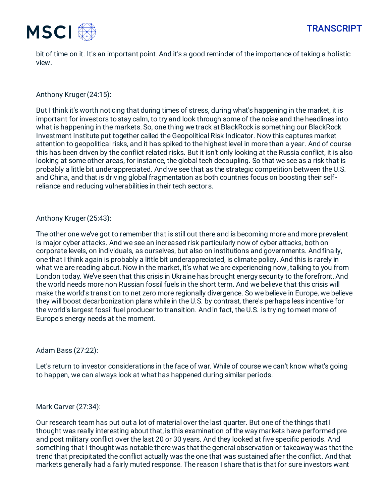

bit of time on it. It's an important point. And it's a good reminder of the importance of taking a holistic view.

Anthony Kruger (24:15):

But I think it's worth noticing that during times of stress, during what's happening in the market, it is important for investors to stay calm, to try and look through some of the noise and the headlines into what is happening in the markets. So, one thing we track at BlackRock is something our BlackRock Investment Institute put together called the Geopolitical Risk Indicator. Now this captures market attention to geopolitical risks, and it has spiked to the highest level in more than a year. And of course this has been driven by the conflict related risks. But it isn't only looking at the Russia conflict, it is also looking at some other areas, for instance, the global tech decoupling. So that we see as a risk that is probably a little bit underappreciated. And we see that as the strategic competition between the U.S. and China, and that is driving global fragmentation as both countries focus on boosting their selfreliance and reducing vulnerabilities in their tech sectors.

# Anthony Kruger (25:43):

The other one we've got to remember that is still out there and is becoming more and more prevalent is major cyber attacks. And we see an increased risk particularly now of cyber attacks, both on corporate levels, on individuals, as ourselves, but also on institutions and governments. And finally, one that I think again is probably a little bit underappreciated, is climate policy. And this is rarely in what we are reading about. Now in the market, it's what we are experiencing now, talking to you from London today. We've seen that this crisis in Ukraine has brought energy security to the forefront. And the world needs more non Russian fossil fuels in the short term. And we believe that this crisis will make the world's transition to net zero more regionally divergence. So we believe in Europe, we believe they will boost decarbonization plans while in the U.S. by contrast, there's perhaps less incentive for the world's largest fossil fuel producer to transition. And in fact, the U.S. is trying to meet more of Europe's energy needs at the moment.

# Adam Bass (27:22):

Let's return to investor considerations in the face of war. While of course we can't know what's going to happen, we can always look at what has happened during similar periods.

#### Mark Carver (27:34):

Our research team has put out a lot of material over the last quarter. But one of the things that I thought was really interesting about that, is this examination of the way markets have performed pre and post military conflict over the last 20 or 30 years. And they looked at five specific periods. And something that I thought was notable there was that the general observation or takeaway was that the trend that precipitated the conflict actually was the one that was sustained after the conflict. And that markets generally had a fairly muted response. The reason I share that is that for sure investors want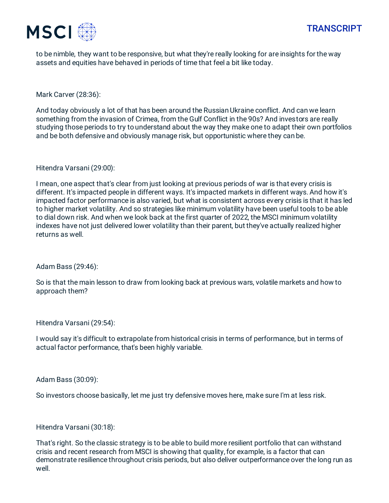



to be nimble, they want to be responsive, but what they're really looking for are insights for the way assets and equities have behaved in periods of time that feel a bit like today.

Mark Carver (28:36):

And today obviously a lot of that has been around the Russian Ukraine conflict. And can we learn something from the invasion of Crimea, from the Gulf Conflict in the 90s? And investors are really studying those periods to try to understand about the way they make one to adapt their own portfolios and be both defensive and obviously manage risk, but opportunistic where they can be.

Hitendra Varsani (29:00):

I mean, one aspect that's clear from just looking at previous periods of war is that every crisis is different. It's impacted people in different ways. It's impacted markets in different ways. And how it's impacted factor performance is also varied, but what is consistent across every crisis is that it has led to higher market volatility. And so strategies like minimum volatility have been useful tools to be able to dial down risk. And when we look back at the first quarter of 2022, the MSCI minimum volatility indexes have not just delivered lower volatility than their parent, but they've actually realized higher returns as well.

Adam Bass (29:46):

So is that the main lesson to draw from looking back at previous wars, volatile markets and how to approach them?

Hitendra Varsani (29:54):

I would say it's difficult to extrapolate from historical crisis in terms of performance, but in terms of actual factor performance, that's been highly variable.

Adam Bass (30:09):

So investors choose basically, let me just try defensive moves here, make sure I'm at less risk.

Hitendra Varsani (30:18):

That's right. So the classic strategy is to be able to build more resilient portfolio that can withstand crisis and recent research from MSCI is showing that quality, for example, is a factor that can demonstrate resilience throughout crisis periods, but also deliver outperformance over the long run as well.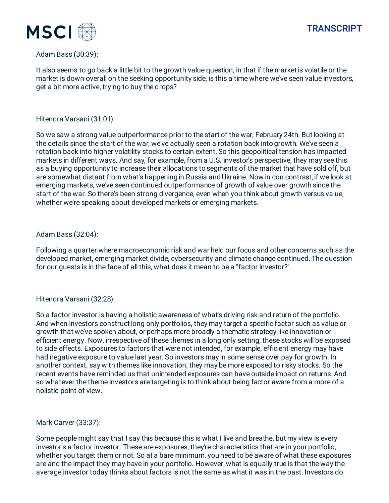



### Adam Bass (30:39):

It also seems to go back a little bit to the growth value question, in that if the market is volatile or the market is down overall on the seeking opportunity side, is this a time where we've seen value investors, get a bit more active, trying to buy the drops?

### Hitendra Varsani (31:01):

So we saw a strong value outperformance prior to the start of the war, February 24th. But looking at the details since the start of the war, we've actually seen a rotation back into growth. We've seen a rotation back into higher volatility stocks to certain extent. So this geopolitical tension has impacted markets in different ways. And say, for example, from a U.S. investor's perspective, they may see this as a buying opportunity to increase their allocations to segments of the market that have sold off, but are somewhat distant from what's happening in Russia and Ukraine. Now in con contrast, if we look at emerging markets, we've seen continued outperformance of growth of value over growth since the start of the war. So there's been strong divergence, even when you think about growth versus value, whether we're speaking about developed markets or emerging markets.

# Adam Bass (32:04):

Following a quarter where macroeconomic risk and war held our focus and other concerns such as the developed market, emerging market divide, cybersecurity and climate change continued. The question for our guests is in the face of all this, what does it mean to be a "factor investor?"

#### Hitendra Varsani (32:28):

So a factor investor is having a holistic awareness of what's driving risk and return of the portfolio. And when investors construct long only portfolios, they may target a specific factor such as value or growth that we've spoken about, or perhaps more broadly a thematic strategy like innovation or efficient energy. Now, irrespective of these themes in a long only setting, these stocks will be exposed to side effects. Exposures to factors that were not intended, for example, efficient energy may have had negative exposure to value last year. So investors may in some sense over pay for growth. In another context, say with themes like innovation, they may be more exposed to risky stocks. So the recent events have reminded us that unintended exposures can have outside impact on returns. And so whatever the theme investors are targeting is to think about being factor aware from a more of a holistic point of view.

#### Mark Carver (33:37):

Some people might say that I say this because this is what I live and breathe, but my view is every investor's a factor investor. These are exposures, they're characteristics that are in your portfolio, whether you target them or not. So at a bare minimum, you need to be aware of what these exposures are and the impact they may have in your portfolio. However, what is equally true is that the way the average investor today thinks about factors is not the same as what it was in the past. Investors do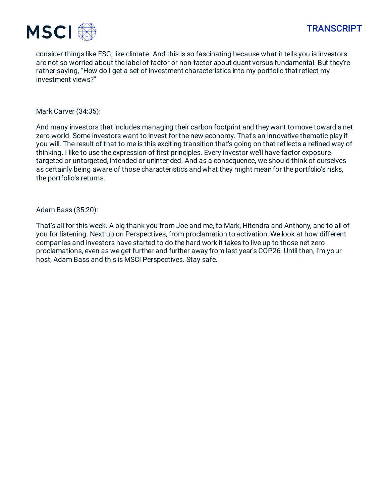

consider things like ESG, like climate. And this is so fascinating because what it tells you is investors are not so worried about the label of factor or non-factor about quant versus fundamental. But they're rather saying, "How do I get a set of investment characteristics into my portfolio that reflect my investment views?"

Mark Carver (34:35):

And many investors that includes managing their carbon footprint and they want to move toward a net zero world. Some investors want to invest for the new economy. That's an innovative thematic play if you will. The result of that to me is this exciting transition that's going on that reflects a refined way of thinking. I like to use the expression of first principles. Every investor we'll have factor exposure targeted or untargeted, intended or unintended. And as a consequence, we should think of ourselves as certainly being aware of those characteristics and what they might mean for the portfolio's risks, the portfolio's returns.

Adam Bass (35:20):

That's all for this week. A big thank you from Joe and me, to Mark, Hitendra and Anthony, and to all of you for listening. Next up on Perspectives, from proclamation to activation. We look at how different companies and investors have started to do the hard work it takes to live up to those net zero proclamations, even as we get further and further away from last year's COP26. Until then, I'm your host, Adam Bass and this is MSCI Perspectives. Stay safe.